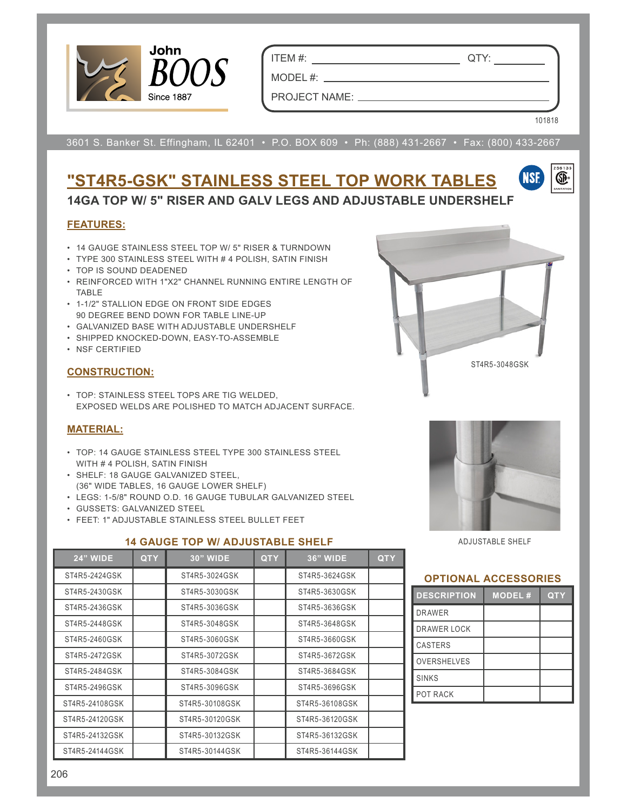

ITEM #: QTY:

MODEL #:

101818

NSF

œ.

PROJECT NAME:

3601 S. Banker St. Effingham, IL 62401 • P.O. BOX 609 • Ph: (888) 431-2667 • Fax: (800) 433-2667

## **"ST4R5-GSK" STAINLESS STEEL TOP WORK TABLES 14GA TOP W/ 5" RISER AND GALV LEGS AND ADJUSTABLE UNDERSHELF**

#### **FEATURES:**

- 14 GAUGE STAINLESS STEEL TOP W/ 5" RISER & TURNDOWN
- TYPE 300 STAINLESS STEEL WITH # 4 POLISH, SATIN FINISH
- TOP IS SOUND DEADENED
- REINFORCED WITH 1"X2" CHANNEL RUNNING ENTIRE LENGTH OF TABLE
- 1-1/2" STALLION EDGE ON FRONT SIDE EDGES 90 DEGREE BEND DOWN FOR TABLE LINE-UP
- GALVANIZED BASE WITH ADJUSTABLE UNDERSHELF
- SHIPPED KNOCKED-DOWN, EASY-TO-ASSEMBLE
- NSF CERTIFIED

#### **CONSTRUCTION:**

• TOP: STAINLESS STEEL TOPS ARE TIG WELDED, EXPOSED WELDS ARE POLISHED TO MATCH ADJACENT SURFACE.

#### **MATERIAL:**

- TOP: 14 GAUGE STAINLESS STEEL TYPE 300 STAINLESS STEEL WITH # 4 POLISH, SATIN FINISH
- SHELF: 18 GAUGE GALVANIZED STEEL, (36" WIDE TABLES, 16 GAUGE LOWER SHELF)
- LEGS: 1-5/8" ROUND O.D. 16 GAUGE TUBULAR GALVANIZED STEEL
- GUSSETS: GALVANIZED STEEL
- FEET: 1" ADJUSTABLE STAINLESS STEEL BULLET FEET







ADJUSTABLE SHELF

#### **OPTIONAL ACCESSORIES**

| <b>DESCRIPTION</b> | <b>MODEL#</b> | <b>QTY</b> |
|--------------------|---------------|------------|
| <b>DRAWER</b>      |               |            |
| DRAWER LOCK        |               |            |
| <b>CASTERS</b>     |               |            |
| <b>OVERSHELVES</b> |               |            |
| <b>SINKS</b>       |               |            |
| POT RACK           |               |            |